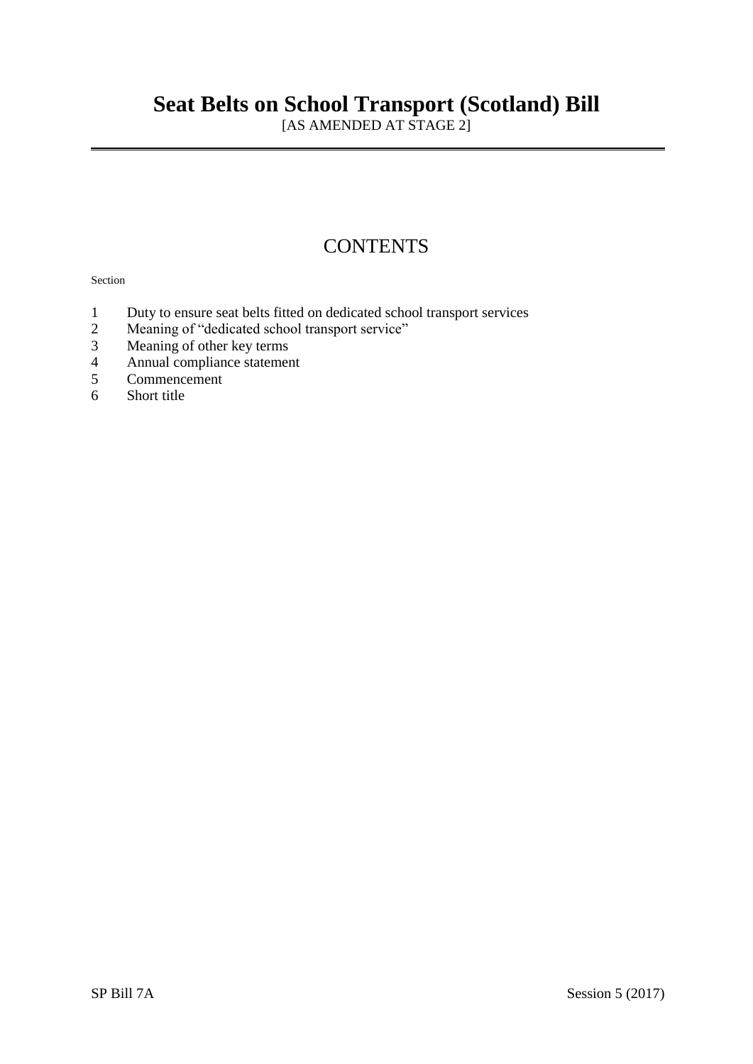# **Seat Belts on School Transport (Scotland) Bill**

[AS AMENDED AT STAGE 2]

## **CONTENTS**

#### Section

- 1 Duty to ensure seat belts fitted on dedicated school transport services<br>2 Meaning of "dedicated school transport service"
- Meaning of "dedicated school transport service"
- 3 Meaning of other key terms
- 4 Annual compliance statement
- 5 Commencement<br>6 Short title
- Short title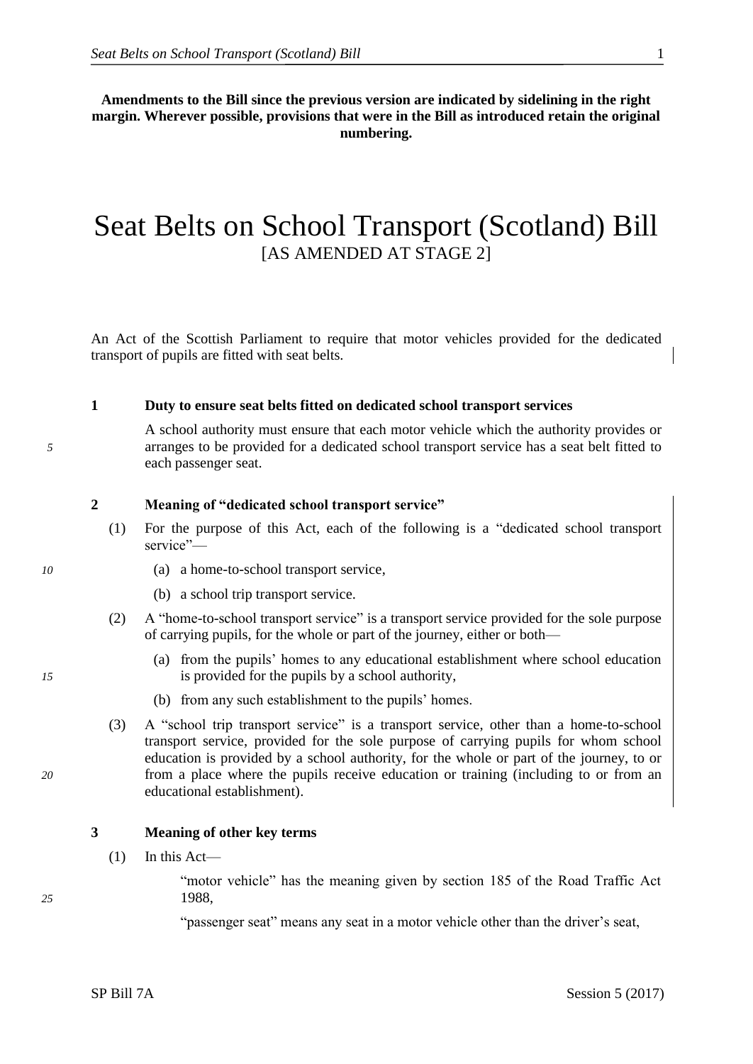<span id="page-2-0"></span>**Amendments to the Bill since the previous version are indicated by sidelining in the right margin. Wherever possible, provisions that were in the Bill as introduced retain the original numbering.**

## Seat Belts on School Transport (Scotland) Bill [AS AMENDED AT STAGE 2]

An Act of the Scottish Parliament to require that motor vehicles provided for the dedicated transport of pupils are fitted with seat belts.

### **1 Duty to ensure seat belts fitted on dedicated school transport services**

A school authority must ensure that each motor vehicle which the authority provides or *5* arranges to be provided for a dedicated school transport service has a seat belt fitted to each passenger seat.

## **2 Meaning of "dedicated school transport service"**

- (1) For the purpose of this Act, each of the following is a "dedicated school transport service"—
- *10* (a) a home-to-school transport service,
	- (b) a school trip transport service.
	- (2) A "home-to-school transport service" is a transport service provided for the sole purpose of carrying pupils, for the whole or part of the journey, either or both—
- (a) from the pupils' homes to any educational establishment where school education *15* is provided for the pupils by a school authority,
	- (b) from any such establishment to the pupils' homes.
- (3) A "school trip transport service" is a transport service, other than a home-to-school transport service, provided for the sole purpose of carrying pupils for whom school education is provided by a school authority, for the whole or part of the journey, to or *20* from a place where the pupils receive education or training (including to or from an educational establishment).

### **3 Meaning of other key terms**

 $(1)$  In this Act—

"motor vehicle" has the meaning given by section 185 of the Road Traffic Act *25* 1988,

"passenger seat" means any seat in a motor vehicle other than the driver's seat,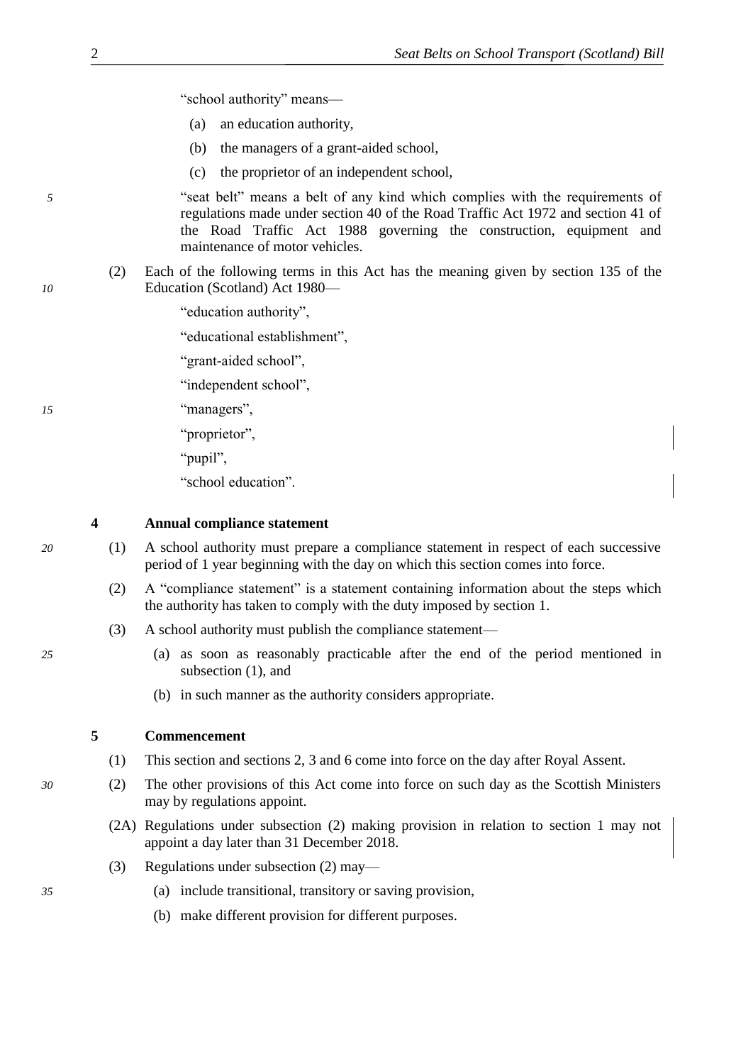|  | "school authority" means- |  |
|--|---------------------------|--|
|--|---------------------------|--|

- (a) an education authority,
- (b) the managers of a grant-aided school,
- (c) the proprietor of an independent school,

*5* "seat belt" means a belt of any kind which complies with the requirements of regulations made under section 40 of the Road Traffic Act 1972 and section 41 of the Road Traffic Act 1988 governing the construction, equipment and maintenance of motor vehicles.

- (2) Each of the following terms in this Act has the meaning given by section 135 of the *10* Education (Scotland) Act 1980—
	- "education authority",

"educational establishment",

"grant-aided school",

"independent school",

*15* "managers",

"proprietor",

"pupil",

"school education".

**4 Annual compliance statement**

- *20* (1) A school authority must prepare a compliance statement in respect of each successive period of 1 year beginning with the day on which this section comes into force.
	- (2) A "compliance statement" is a statement containing information about the steps which the authority has taken to comply with the duty imposed by section [1.](#page-2-0)
	- (3) A school authority must publish the compliance statement—
- *25* (a) as soon as reasonably practicable after the end of the period mentioned in subsection [\(1\),](#page-3-0) and
	- (b) in such manner as the authority considers appropriate.

### **5 Commencement**

- (1) This section and sections 2, [3](#page-2-0) and [6](#page-4-0) come into force on the day after Royal Assent.
- *30* (2) The other provisions of this Act come into force on such day as the Scottish Ministers may by regulations appoint.
	- (2A) Regulations under subsection (2) making provision in relation to section 1 may not appoint a day later than 31 December 2018.
	- (3) Regulations under subsection (2) may—
- *35* (a) include transitional, transitory or saving provision,
	- (b) make different provision for different purposes.

<span id="page-3-0"></span>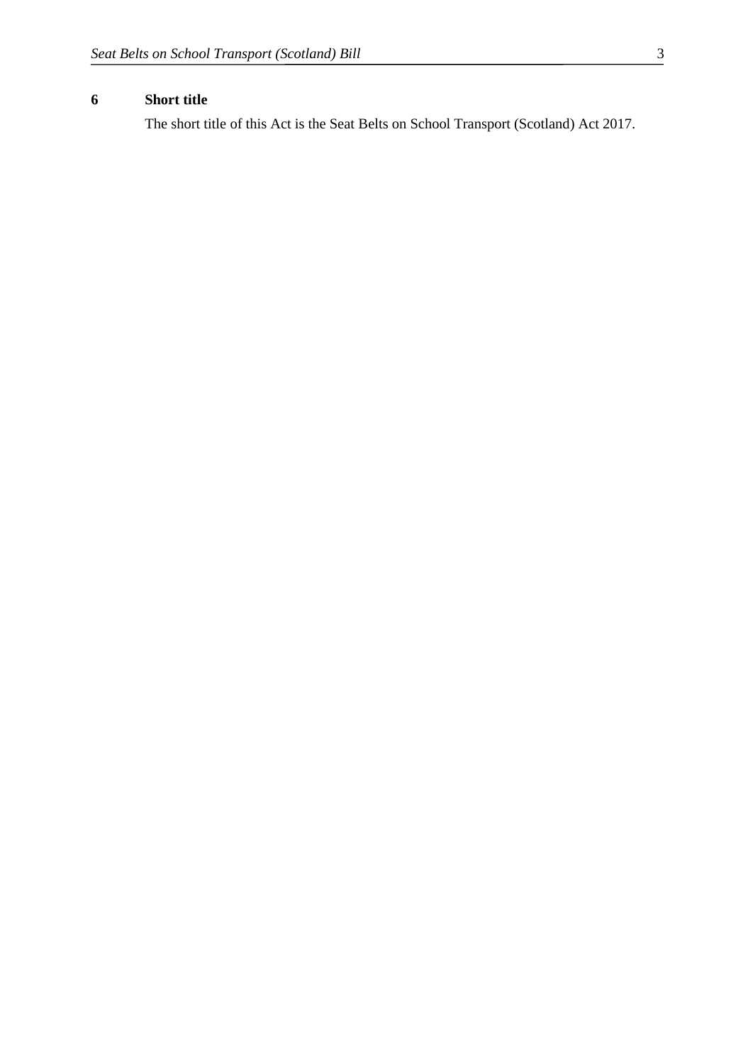## <span id="page-4-0"></span>**6 Short title**

The short title of this Act is the Seat Belts on School Transport (Scotland) Act 2017.